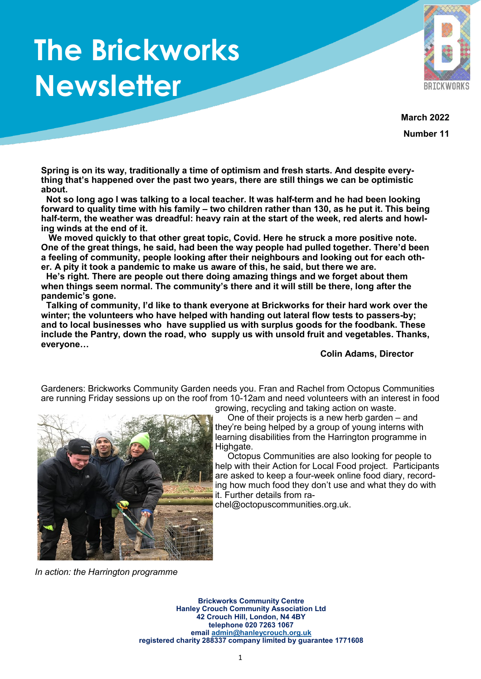# **The Brickworks Newsletter**



**March 2022 Number 11**

**Spring is on its way, traditionally a time of optimism and fresh starts. And despite everything that's happened over the past two years, there are still things we can be optimistic about.**

 **Not so long ago I was talking to a local teacher. It was half-term and he had been looking forward to quality time with his family – two children rather than 130, as he put it. This being half-term, the weather was dreadful: heavy rain at the start of the week, red alerts and howling winds at the end of it.**

 **We moved quickly to that other great topic, Covid. Here he struck a more positive note. One of the great things, he said, had been the way people had pulled together. There'd been a feeling of community, people looking after their neighbours and looking out for each other. A pity it took a pandemic to make us aware of this, he said, but there we are.**

 **He's right. There are people out there doing amazing things and we forget about them when things seem normal. The community's there and it will still be there, long after the pandemic's gone.**

 **Talking of community, I'd like to thank everyone at Brickworks for their hard work over the winter; the volunteers who have helped with handing out lateral flow tests to passers-by; and to local businesses who have supplied us with surplus goods for the foodbank. These include the Pantry, down the road, who supply us with unsold fruit and vegetables. Thanks, everyone…** 

#### **Colin Adams, Director**

Gardeners: Brickworks Community Garden needs you. Fran and Rachel from Octopus Communities are running Friday sessions up on the roof from 10-12am and need volunteers with an interest in food



growing, recycling and taking action on waste. One of their projects is a new herb garden – and

they're being helped by a group of young interns with learning disabilities from the Harrington programme in Highgate. Octopus Communities are also looking for people to

help with their Action for Local Food project. Participants are asked to keep a four-week online food diary, recording how much food they don't use and what they do with it. Further details from ra-

chel@octopuscommunities.org.uk.

*In action: the Harrington programme*

**Brickworks Community Centre Hanley Crouch Community Association Ltd 42 Crouch Hill, London, N4 4BY telephone 020 7263 1067 email [admin@hanleycrouch.org.uk](mailto:admin@hanleycrouch.org.uk) registered charity 288337 company limited by guarantee 1771608**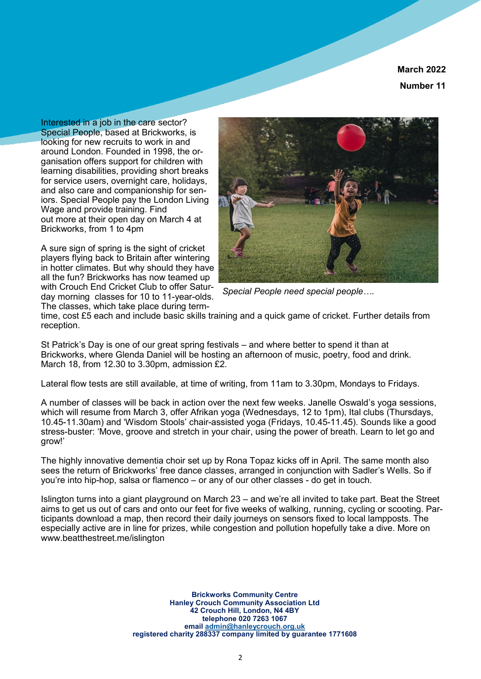**March 2022 Number 11**

Interested in a job in the care sector? Special People, based at Brickworks, is looking for new recruits to work in and around London. Founded in 1998, the organisation offers support for children with learning disabilities, providing short breaks for service users, overnight care, holidays, and also care and companionship for seniors. Special People pay the London Living Wage and provide training. Find out more at their open day on March 4 at Brickworks, from 1 to 4pm

A sure sign of spring is the sight of cricket players flying back to Britain after wintering in hotter climates. But why should they have all the fun? Brickworks has now teamed up with Crouch End Cricket Club to offer Saturday morning classes for 10 to 11-year-olds. The classes, which take place during term-



*Special People need special people….*

time, cost £5 each and include basic skills training and a quick game of cricket. Further details from reception.

St Patrick's Day is one of our great spring festivals – and where better to spend it than at Brickworks, where Glenda Daniel will be hosting an afternoon of music, poetry, food and drink. March 18, from 12.30 to 3.30pm, admission £2.

Lateral flow tests are still available, at time of writing, from 11am to 3.30pm, Mondays to Fridays.

A number of classes will be back in action over the next few weeks. Janelle Oswald's yoga sessions, which will resume from March 3, offer Afrikan yoga (Wednesdays, 12 to 1pm), Ital clubs (Thursdays, 10.45-11.30am) and 'Wisdom Stools' chair-assisted yoga (Fridays, 10.45-11.45). Sounds like a good stress-buster: 'Move, groove and stretch in your chair, using the power of breath. Learn to let go and grow!'

The highly innovative dementia choir set up by Rona Topaz kicks off in April. The same month also sees the return of Brickworks' free dance classes, arranged in conjunction with Sadler's Wells. So if you're into hip-hop, salsa or flamenco – or any of our other classes - do get in touch.

Islington turns into a giant playground on March 23 – and we're all invited to take part. Beat the Street aims to get us out of cars and onto our feet for five weeks of walking, running, cycling or scooting. Participants download a map, then record their daily journeys on sensors fixed to local lampposts. The especially active are in line for prizes, while congestion and pollution hopefully take a dive. More on [www.beatthestreet.me/islington](http://www.beatthestreet.me/islington)

> **Brickworks Community Centre Hanley Crouch Community Association Ltd 42 Crouch Hill, London, N4 4BY telephone 020 7263 1067 email [admin@hanleycrouch.org.uk](mailto:admin@hanleycrouch.org.uk) registered charity 288337 company limited by guarantee 1771608**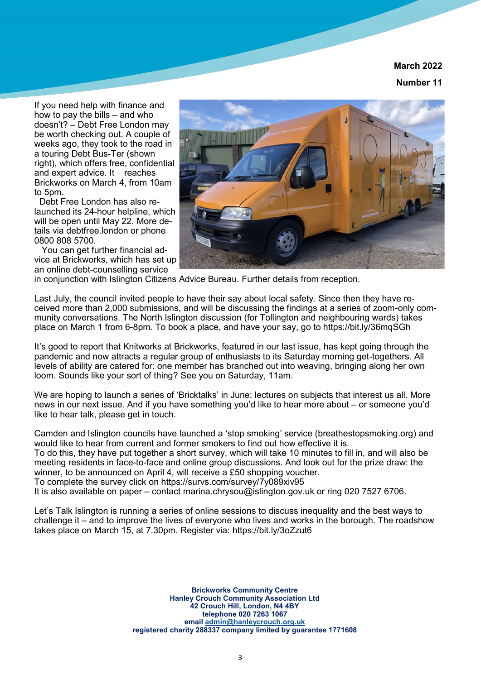# **March 2022**

**Number 11**

If you need help with finance and how to pay the bills  $-$  and who doesn't? – Debt Free London may be worth checking out. A couple of weeks ago, they took to the road in a touring Debt Bus-Ter (shown right), which offers free, confidential and expert advice. It reaches Brickworks on March 4, from 10am to 5pm.

 Debt Free London has also relaunched its 24-hour helpline, which will be open until May 22. More details via debtfree.london or phone 0800 808 5700.

 You can get further financial advice at Brickworks, which has set up an online debt-counselling service



in conjunction with Islington Citizens Advice Bureau. Further details from reception.

Last July, the council invited people to have their say about local safety. Since then they have received more than 2,000 submissions, and will be discussing the findings at a series of zoom-only community conversations. The North Islington discussion (for Tollington and neighbouring wards) takes place on March 1 from 6-8pm. To book a place, and have your say, go to https://bit.ly/36mqSGh

It's good to report that Knitworks at Brickworks, featured in our last issue, has kept going through the pandemic and now attracts a regular group of enthusiasts to its Saturday morning get-togethers. All levels of ability are catered for: one member has branched out into weaving, bringing along her own loom. Sounds like your sort of thing? See you on Saturday, 11am.

We are hoping to launch a series of 'Bricktalks' in June: lectures on subjects that interest us all. More news in our next issue. And if you have something you'd like to hear more about – or someone you'd like to hear talk, please get in touch.

Camden and Islington councils have launched a 'stop smoking' service (breathestopsmoking.org) and would like to hear from current and former smokers to find out how effective it is. To do this, they have put together a short survey, which will take 10 minutes to fill in, and will also be meeting residents in face-to-face and online group discussions. And look out for the prize draw: the winner, to be announced on April 4, will receive a £50 shopping voucher.

To complete the survey click on https://survs.com/survey/7y089xiv95

It is also available on paper – contact marina.chrysou@islington.gov.uk or ring 020 7527 6706.

Let's Talk Islington is running a series of online sessions to discuss inequality and the best ways to challenge it – and to improve the lives of everyone who lives and works in the borough. The roadshow takes place on March 15, at 7.30pm. Register via: <https://bit.ly/3oZzut6>

> **Brickworks Community Centre Hanley Crouch Community Association Ltd 42 Crouch Hill, London, N4 4BY telephone 020 7263 1067 email [admin@hanleycrouch.org.uk](mailto:admin@hanleycrouch.org.uk) registered charity 288337 company limited by guarantee 1771608**